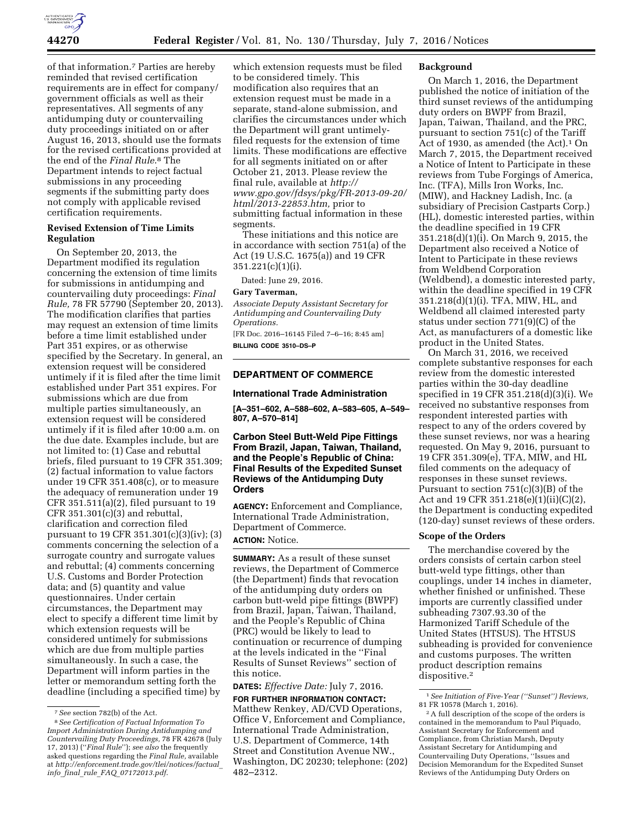

of that information.7 Parties are hereby reminded that revised certification requirements are in effect for company/ government officials as well as their representatives. All segments of any antidumping duty or countervailing duty proceedings initiated on or after August 16, 2013, should use the formats for the revised certifications provided at the end of the *Final Rule*.8 The Department intends to reject factual submissions in any proceeding segments if the submitting party does not comply with applicable revised certification requirements.

## **Revised Extension of Time Limits Regulation**

On September 20, 2013, the Department modified its regulation concerning the extension of time limits for submissions in antidumping and countervailing duty proceedings: *Final Rule,* 78 FR 57790 (September 20, 2013). The modification clarifies that parties may request an extension of time limits before a time limit established under Part 351 expires, or as otherwise specified by the Secretary. In general, an extension request will be considered untimely if it is filed after the time limit established under Part 351 expires. For submissions which are due from multiple parties simultaneously, an extension request will be considered untimely if it is filed after 10:00 a.m. on the due date. Examples include, but are not limited to: (1) Case and rebuttal briefs, filed pursuant to 19 CFR 351.309; (2) factual information to value factors under 19 CFR 351.408(c), or to measure the adequacy of remuneration under 19 CFR 351.511(a)(2), filed pursuant to 19 CFR 351.301(c)(3) and rebuttal, clarification and correction filed pursuant to 19 CFR 351.301(c)(3)(iv); (3) comments concerning the selection of a surrogate country and surrogate values and rebuttal; (4) comments concerning U.S. Customs and Border Protection data; and (5) quantity and value questionnaires. Under certain circumstances, the Department may elect to specify a different time limit by which extension requests will be considered untimely for submissions which are due from multiple parties simultaneously. In such a case, the Department will inform parties in the letter or memorandum setting forth the deadline (including a specified time) by

which extension requests must be filed to be considered timely. This modification also requires that an extension request must be made in a separate, stand-alone submission, and clarifies the circumstances under which the Department will grant untimelyfiled requests for the extension of time limits. These modifications are effective for all segments initiated on or after October 21, 2013. Please review the final rule, available at *[http://](http://www.gpo.gov/fdsys/pkg/FR-2013-09-20/html/2013-22853.htm) [www.gpo.gov/fdsys/pkg/FR-2013-09-20/](http://www.gpo.gov/fdsys/pkg/FR-2013-09-20/html/2013-22853.htm) [html/2013-22853.htm,](http://www.gpo.gov/fdsys/pkg/FR-2013-09-20/html/2013-22853.htm)* prior to submitting factual information in these segments.

These initiations and this notice are in accordance with section 751(a) of the Act (19 U.S.C. 1675(a)) and 19 CFR 351.221(c)(1)(i).

Dated: June 29, 2016.

## **Gary Taverman,**

*Associate Deputy Assistant Secretary for Antidumping and Countervailing Duty Operations.* 

[FR Doc. 2016–16145 Filed 7–6–16; 8:45 am] **BILLING CODE 3510–DS–P** 

#### **DEPARTMENT OF COMMERCE**

#### **International Trade Administration**

**[A–351–602, A–588–602, A–583–605, A–549– 807, A–570–814]** 

## **Carbon Steel Butt-Weld Pipe Fittings From Brazil, Japan, Taiwan, Thailand, and the People's Republic of China: Final Results of the Expedited Sunset Reviews of the Antidumping Duty Orders**

**AGENCY:** Enforcement and Compliance, International Trade Administration, Department of Commerce.

# **ACTION:** Notice.

**SUMMARY:** As a result of these sunset reviews, the Department of Commerce (the Department) finds that revocation of the antidumping duty orders on carbon butt-weld pipe fittings (BWPF) from Brazil, Japan, Taiwan, Thailand, and the People's Republic of China (PRC) would be likely to lead to continuation or recurrence of dumping at the levels indicated in the ''Final Results of Sunset Reviews'' section of this notice.

**DATES:** *Effective Date:* July 7, 2016. **FOR FURTHER INFORMATION CONTACT:** 

Matthew Renkey, AD/CVD Operations, Office V, Enforcement and Compliance, International Trade Administration, U.S. Department of Commerce, 14th Street and Constitution Avenue NW., Washington, DC 20230; telephone: (202) 482–2312.

#### **Background**

On March 1, 2016, the Department published the notice of initiation of the third sunset reviews of the antidumping duty orders on BWPF from Brazil, Japan, Taiwan, Thailand, and the PRC, pursuant to section 751(c) of the Tariff Act of 1930, as amended (the Act).<sup>1</sup> On March 7, 2015, the Department received a Notice of Intent to Participate in these reviews from Tube Forgings of America, Inc. (TFA), Mills Iron Works, Inc. (MIW), and Hackney Ladish, Inc. (a subsidiary of Precision Castparts Corp.) (HL), domestic interested parties, within the deadline specified in 19 CFR 351.218(d)(1)(i). On March 9, 2015, the Department also received a Notice of Intent to Participate in these reviews from Weldbend Corporation (Weldbend), a domestic interested party, within the deadline specified in 19 CFR 351.218(d)(1)(i). TFA, MIW, HL, and Weldbend all claimed interested party status under section 771(9)(C) of the Act, as manufacturers of a domestic like product in the United States.

On March 31, 2016, we received complete substantive responses for each review from the domestic interested parties within the 30-day deadline specified in 19 CFR 351.218(d)(3)(i). We received no substantive responses from respondent interested parties with respect to any of the orders covered by these sunset reviews, nor was a hearing requested. On May 9, 2016, pursuant to 19 CFR 351.309(e), TFA, MIW, and HL filed comments on the adequacy of responses in these sunset reviews. Pursuant to section 751(c)(3)(B) of the Act and 19 CFR 351.218(e)(1)(ii)(C)(2), the Department is conducting expedited (120-day) sunset reviews of these orders.

#### **Scope of the Orders**

The merchandise covered by the orders consists of certain carbon steel butt-weld type fittings, other than couplings, under 14 inches in diameter, whether finished or unfinished. These imports are currently classified under subheading 7307.93.30 of the Harmonized Tariff Schedule of the United States (HTSUS). The HTSUS subheading is provided for convenience and customs purposes. The written product description remains dispositive.2

<sup>7</sup>*See* section 782(b) of the Act.

<sup>8</sup>*See Certification of Factual Information To Import Administration During Antidumping and Countervailing Duty Proceedings,* 78 FR 42678 (July 17, 2013) (''*Final Rule*''); *see also* the frequently asked questions regarding the *Final Rule,* available at *[http://enforcement.trade.gov/tlei/notices/factual](http://enforcement.trade.gov/tlei/notices/factual_info_final_rule_FAQ_07172013.pdf)*\_ *info*\_*final*\_*rule*\_*FAQ*\_*[07172013.pdf](http://enforcement.trade.gov/tlei/notices/factual_info_final_rule_FAQ_07172013.pdf)*.

<sup>1</sup>*See Initiation of Five-Year (''Sunset'') Reviews,*  81 FR 10578 (March 1, 2016).

<sup>2</sup>A full description of the scope of the orders is contained in the memorandum to Paul Piquado, Assistant Secretary for Enforcement and Compliance, from Christian Marsh, Deputy Assistant Secretary for Antidumping and Countervailing Duty Operations, ''Issues and Decision Memorandum for the Expedited Sunset Reviews of the Antidumping Duty Orders on